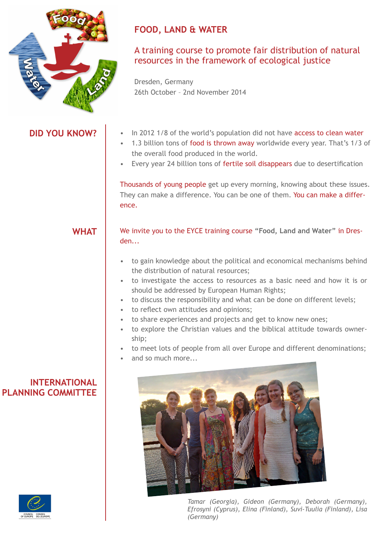

**DID YOU KNOW?**

# **FOOD, LAND & WATER**

## A training course to promote fair distribution of natural resources in the framework of ecological justice

Dresden, Germany 26th October – 2nd November 2014

### • In 2012 1/8 of the world's population did not have access to clean water

- 1.3 billion tons of food is thrown away worldwide every year. That's 1/3 of the overall food produced in the world.
- Every year 24 billion tons of fertile soil disappears due to desertification

Thousands of young people get up every morning, knowing about these issues. They can make a difference. You can be one of them. You can make a difference.

**WHAT**

We invite you to the EYCE training course **"Food, Land and Water"** in Dresden...

- to gain knowledge about the political and economical mechanisms behind the distribution of natural resources;
- to investigate the access to resources as a basic need and how it is or should be addressed by European Human Rights;
- to discuss the responsibility and what can be done on different levels;
- to reflect own attitudes and opinions;
- to share experiences and projects and get to know new ones;
- to explore the Christian values and the biblical attitude towards ownership;
- to meet lots of people from all over Europe and different denominations;
- and so much more...



*Tamar (Georgia), Gideon (Germany), Deborah (Germany), Efrosyni (Cyprus), Elina (Finland), Suvi-Tuulia (Finland), Lisa (Germany)*

### **INTERNATIONAL PLANNING COMMITTEE**